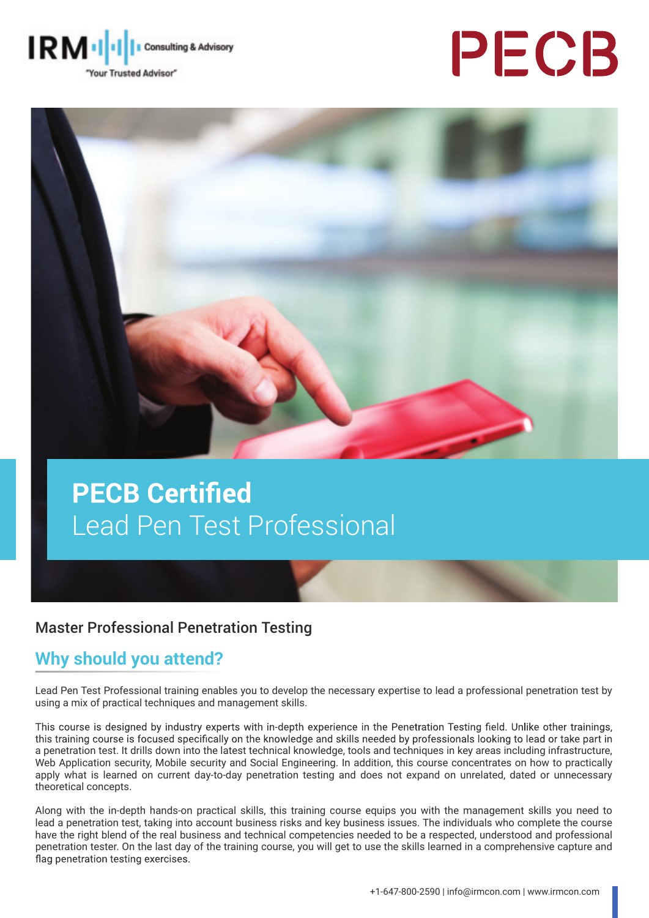

# PECB



## **PECB Certified** Lead Pen Test Professional

#### Master Professional Penetration Testing

#### **Why should you attend?**

Lead Pen Test Professional training enables you to develop the necessary expertise to lead a professional penetration test by using a mix of practical techniques and management skills.

This course is designed by industry experts with in-depth experience in the Penetration Testing field. Unlike other trainings, this training course is focused specifically on the knowledge and skills needed by professionals looking to lead or take part in a penetration test. It drills down into the latest technical knowledge, tools and techniques in key areas including infrastructure, Web Application security, Mobile security and Social Engineering. In addition, this course concentrates on how to practically apply what is learned on current day-to-day penetration testing and does not expand on unrelated, dated or unnecessary theoretical concepts.

Along with the in-depth hands-on practical skills, this training course equips you with the management skills you need to lead a penetration test, taking into account business risks and key business issues. The individuals who complete the course have the right blend of the real business and technical competencies needed to be a respected, understood and professional penetration tester. On the last day of the training course, you will get to use the skills learned in a comprehensive capture and flag penetration testing exercises.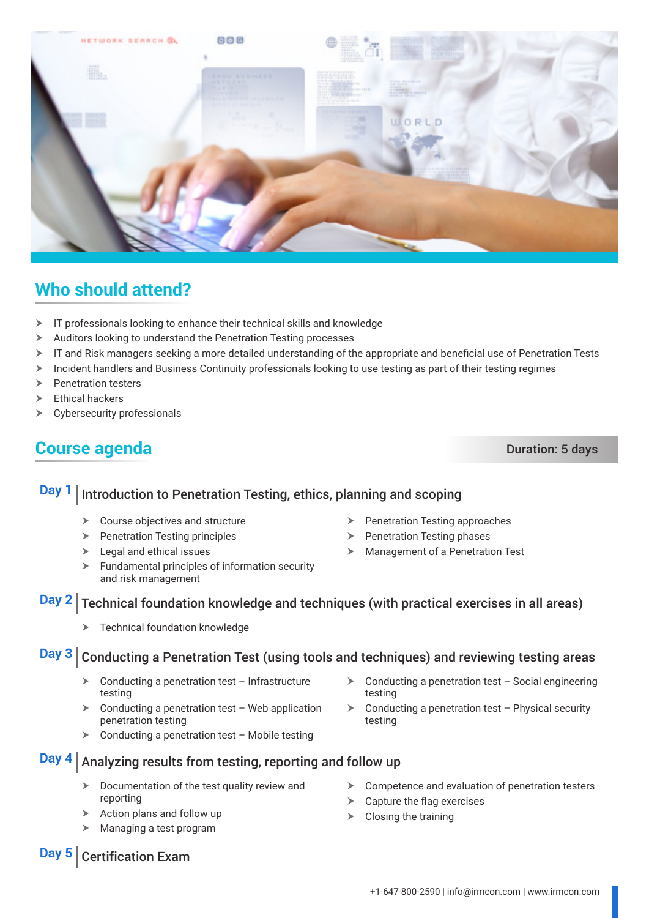

#### **Who should attend?**

- $\triangleright$  IT professionals looking to enhance their technical skills and knowledge
- $\triangleright$  Auditors looking to understand the Penetration Testing processes
- $\triangleright$  IT and Risk managers seeking a more detailed understanding of the appropriate and beneficial use of Penetration Tests
- $\triangleright$  Incident handlers and Business Continuity professionals looking to use testing as part of their testing regimes
- $\triangleright$  Penetration testers
- $\blacktriangleright$  Ethical hackers
- $\triangleright$  Cybersecurity professionals

#### **Course agenda** Duration: 5 days

### **Day 1** Introduction to Penetration Testing, ethics, planning and scoping

- $\triangleright$  Course objectives and structure
- $\triangleright$  Penetration Testing principles
- $\blacktriangleright$  Legal and ethical issues
- $\blacktriangleright$  Fundamental principles of information security and risk management
- $\triangleright$  Penetration Testing approaches
- $\triangleright$  Penetration Testing phases
- $\blacktriangleright$  Management of a Penetration Test

#### **Day 2** Technical foundation knowledge and techniques (with practical exercises in all areas)

Technical foundation knowledge

#### **Day 3** Conducting a Penetration Test (using tools and techniques) and reviewing testing areas

- $\triangleright$  Conducting a penetration test Infrastructure testing
- $\triangleright$  Conducting a penetration test Web application penetration testing
- $\triangleright$  Conducting a penetration test Mobile testing

**Day 4** Analyzing results from testing, reporting and follow up

- Documentation of the test quality review and reporting
- Action plans and follow up
- Managing a test program
- $\triangleright$  Conducting a penetration test Social engineering testing
- $\triangleright$  Conducting a penetration test Physical security testing

**Day 5** Certification Exam

- $\triangleright$  Competence and evaluation of penetration testers
- $\triangleright$  Capture the flag exercises
- $\triangleright$  Closing the training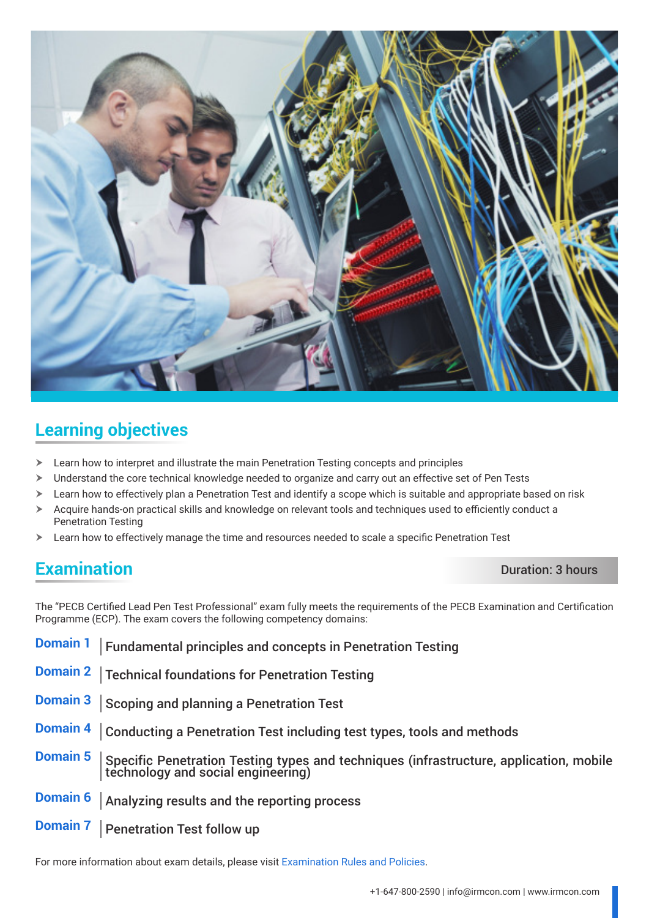

#### **Learning objectives**

- $\triangleright$  Learn how to interpret and illustrate the main Penetration Testing concepts and principles
- $\triangleright$  Understand the core technical knowledge needed to organize and carry out an effective set of Pen Tests
- > Learn how to effectively plan a Penetration Test and identify a scope which is suitable and appropriate based on risk
- $\triangleright$  Acquire hands-on practical skills and knowledge on relevant tools and techniques used to efficiently conduct a Penetration Testing
- $\triangleright$  Learn how to effectively manage the time and resources needed to scale a specific Penetration Test

#### **Examination** Duration: 3 hours

The "PECB Certified Lead Pen Test Professional" exam fully meets the requirements of the PECB Examination and Certification Programme (ECP). The exam covers the following competency domains:

| <b>Domain 1</b> | <b>Fundamental principles and concepts in Penetration Testing</b>                                                             |
|-----------------|-------------------------------------------------------------------------------------------------------------------------------|
| <b>Domain 2</b> | Technical foundations for Penetration Testing                                                                                 |
| <b>Domain 3</b> | Scoping and planning a Penetration Test                                                                                       |
| <b>Domain 4</b> | Conducting a Penetration Test including test types, tools and methods                                                         |
| <b>Domain 5</b> | Specific Penetration Testing types and techniques (infrastructure, application, mobile<br> technology and social engineering) |
| <b>Domain 6</b> | Analyzing results and the reporting process                                                                                   |
| <b>Domain 7</b> | <b>Penetration Test follow up</b>                                                                                             |

For more information about exam details, please visit [Examination Rules and Policies](https://pecb.com/en/examination-rules-and-policies).